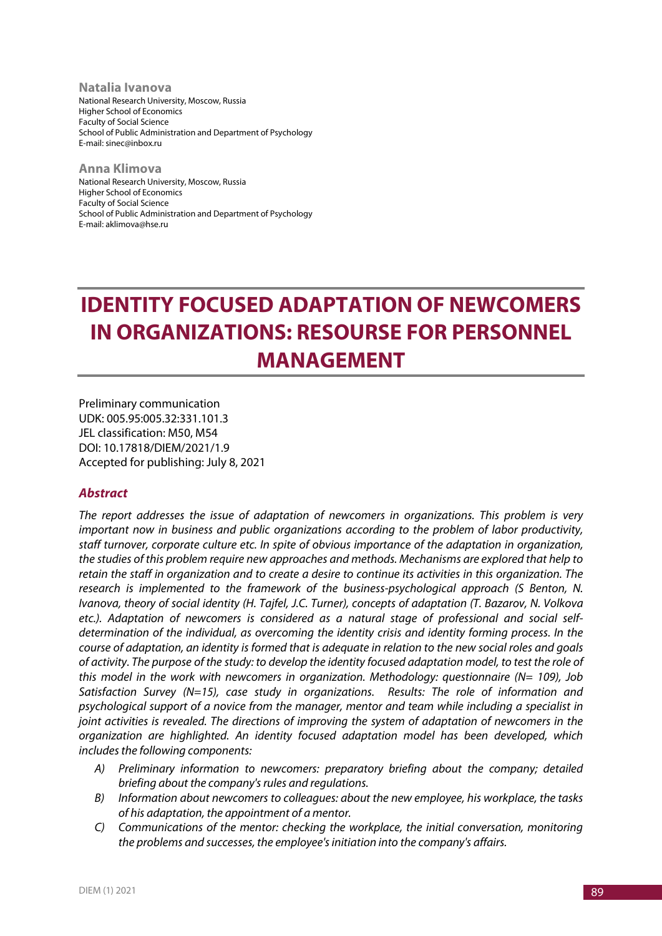**Natalia Ivanova** National Research University, Moscow, Russia Higher School of Economics Faculty of Social Science School of Public Administration and Department of Psychology E-mail: sinec@inbox.ru

**Anna Klimova** National Research University, Moscow, Russia Higher School of Economics Faculty of Social Science School of Public Administration and Department of Psychology E-mail: aklimova@hse.ru

# **IDENTITY FOCUSED ADAPTATION OF NEWCOMERS IN ORGANIZATIONS: RESOURSE FOR PERSONNEL MANAGEMENT**

Preliminary communication UDK: 005.95:005.32:331.101.3 JEL classification: M50, M54 DOI: 10.17818/DIEM/2021/1.9 Accepted for publishing: July 8, 2021

## *Abstract*

*The report addresses the issue of adaptation of newcomers in organizations. This problem is very important now in business and public organizations according to the problem of labor productivity, staff turnover, corporate culture etc. In spite of obvious importance of the adaptation in organization, the studies of this problem require new approaches and methods. Mechanisms are explored that help to retain the staff in organization and to create a desire to continue its activities in this organization. The research is implemented to the framework of the business-psychological approach (S Benton, N. Ivanova, theory of social identity (H. Tajfel, J.C. Turner), concepts of adaptation (T. Bazarov, N. Volkova etc.). Adaptation of newcomers is considered as a natural stage of professional and social selfdetermination of the individual, as overcoming the identity crisis and identity forming process. In the course of adaptation, an identity is formed that is adequate in relation to the new social roles and goals of activity. The purpose of the study: to develop the identity focused adaptation model, to test the role of this model in the work with newcomers in organization. Methodology: questionnaire (N= 109), Job Satisfaction Survey (N=15), case study in organizations. Results: The role of information and psychological support of a novice from the manager, mentor and team while including a specialist in joint activities is revealed. The directions of improving the system of adaptation of newcomers in the organization are highlighted. An identity focused adaptation model has been developed, which includes the following components:*

- *A) Preliminary information to newcomers: preparatory briefing about the company; detailed briefing about the company's rules and regulations.*
- *B) Information about newcomers to colleagues: about the new employee, his workplace, the tasks of his adaptation, the appointment of a mentor.*
- *C) Communications of the mentor: checking the workplace, the initial conversation, monitoring the problems and successes, the employee's initiation into the company's affairs.*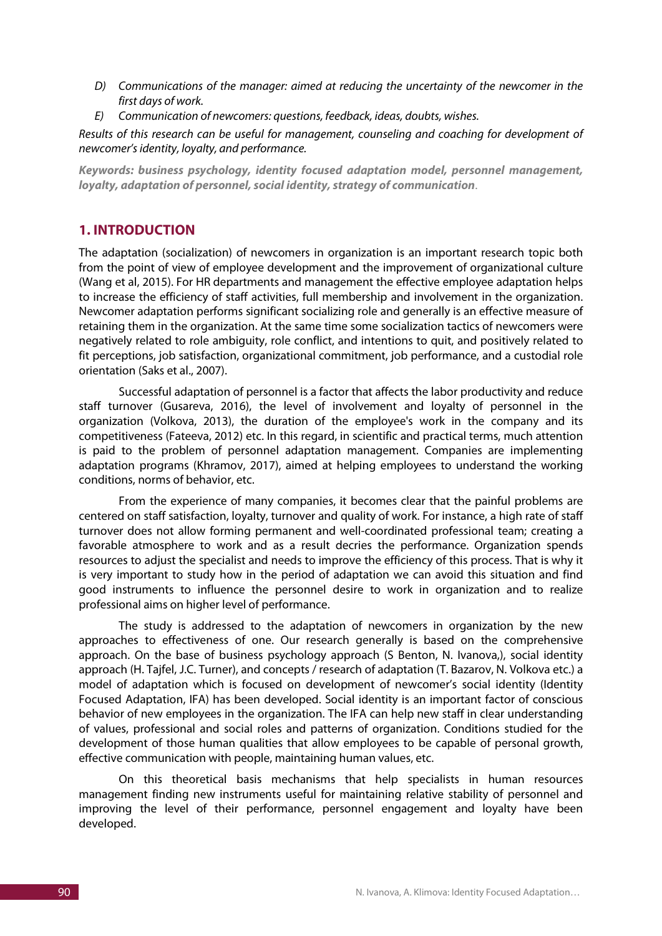- *D) Communications of the manager: aimed at reducing the uncertainty of the newcomer in the first days of work.*
- *E) Communication of newcomers: questions, feedback, ideas, doubts, wishes.*

*Results of this research can be useful for management, counseling and coaching for development of newcomer's identity, loyalty, and performance.*

*Keywords: business psychology, identity focused adaptation model, personnel management, loyalty, adaptation of personnel, social identity, strategy of communication*.

## **1. INTRODUCTION**

The adaptation (socialization) of newcomers in organization is an important research topic both from the point of view of employee development and the improvement of organizational culture (Wang et al, 2015). For HR departments and management the effective employee adaptation helps to increase the efficiency of staff activities, full membership and involvement in the organization. Newcomer adaptation performs significant socializing role and generally is an effective measure of retaining them in the organization. At the same time some socialization tactics of newcomers were negatively related to role ambiguity, role conflict, and intentions to quit, and positively related to fit perceptions, job satisfaction, organizational commitment, job performance, and a custodial role orientation (Saks et al., 2007).

Successful adaptation of personnel is a factor that affects the labor productivity and reduce staff turnover (Gusareva, 2016), the level of involvement and loyalty of personnel in the organization (Volkova, 2013), the duration of the employee's work in the company and its competitiveness (Fateeva, 2012) etc. In this regard, in scientific and practical terms, much attention is paid to the problem of personnel adaptation management. Companies are implementing adaptation programs (Khramov, 2017), aimed at helping employees to understand the working conditions, norms of behavior, etc.

From the experience of many companies, it becomes clear that the painful problems are centered on staff satisfaction, loyalty, turnover and quality of work. For instance, a high rate of staff turnover does not allow forming permanent and well-coordinated professional team; creating a favorable atmosphere to work and as a result decries the performance. Organization spends resources to adjust the specialist and needs to improve the efficiency of this process. That is why it is very important to study how in the period of adaptation we can avoid this situation and find good instruments to influence the personnel desire to work in organization and to realize professional aims on higher level of performance.

The study is addressed to the adaptation of newcomers in organization by the new approaches to effectiveness of one. Our research generally is based on the comprehensive approach. On the base of business psychology approach (S Benton, N. Ivanova,), social identity approach (H. Tajfel, J.C. Turner), and concepts / research of adaptation (T. Bazarov, N. Volkova etc.) a model of adaptation which is focused on development of newcomer's social identity (Identity Focused Adaptation, IFA) has been developed. Social identity is an important factor of conscious behavior of new employees in the organization. The IFA can help new staff in clear understanding of values, professional and social roles and patterns of organization. Conditions studied for the development of those human qualities that allow employees to be capable of personal growth, effective communication with people, maintaining human values, etc.

On this theoretical basis mechanisms that help specialists in human resources management finding new instruments useful for maintaining relative stability of personnel and improving the level of their performance, personnel engagement and loyalty have been developed.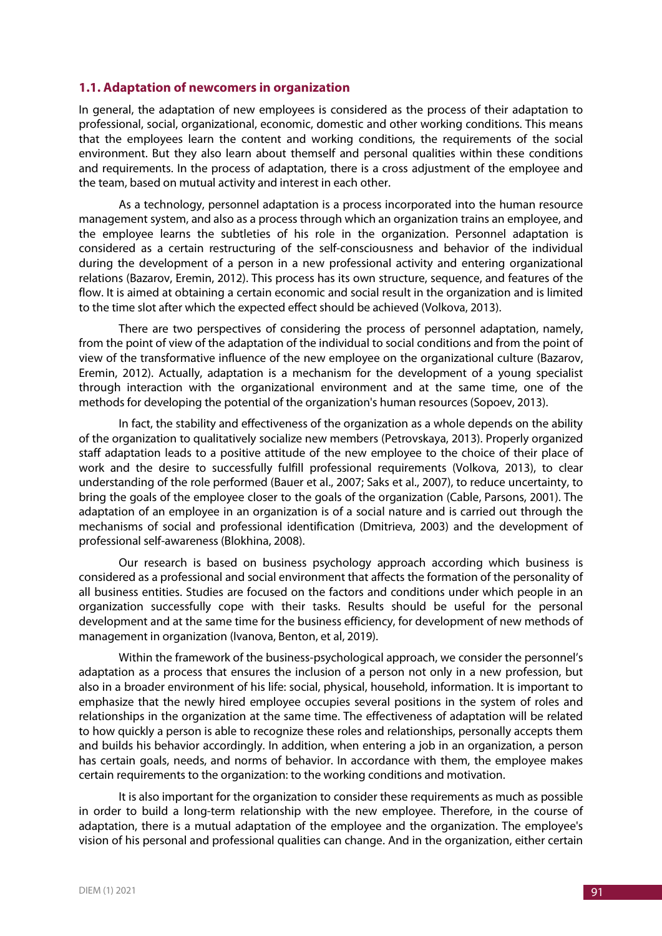#### **1.1. Adaptation of newcomers in organization**

In general, the adaptation of new employees is considered as the process of their adaptation to professional, social, organizational, economic, domestic and other working conditions. This means that the employees learn the content and working conditions, the requirements of the social environment. But they also learn about themself and personal qualities within these conditions and requirements. In the process of adaptation, there is a cross adjustment of the employee and the team, based on mutual activity and interest in each other.

As a technology, personnel adaptation is a process incorporated into the human resource management system, and also as a process through which an organization trains an employee, and the employee learns the subtleties of his role in the organization. Personnel adaptation is considered as a certain restructuring of the self-consciousness and behavior of the individual during the development of a person in a new professional activity and entering organizational relations (Bazarov, Eremin, 2012). This process has its own structure, sequence, and features of the flow. It is aimed at obtaining a certain economic and social result in the organization and is limited to the time slot after which the expected effect should be achieved (Volkova, 2013).

There are two perspectives of considering the process of personnel adaptation, namely, from the point of view of the adaptation of the individual to social conditions and from the point of view of the transformative influence of the new employee on the organizational culture (Bazarov, Eremin, 2012). Actually, adaptation is a mechanism for the development of a young specialist through interaction with the organizational environment and at the same time, one of the methods for developing the potential of the organization's human resources (Sopoev, 2013).

In fact, the stability and effectiveness of the organization as a whole depends on the ability of the organization to qualitatively socialize new members (Petrovskaya, 2013). Properly organized staff adaptation leads to a positive attitude of the new employee to the choice of their place of work and the desire to successfully fulfill professional requirements (Volkova, 2013), to clear understanding of the role performed (Bauer et al., 2007; Saks et al., 2007), to reduce uncertainty, to bring the goals of the employee closer to the goals of the organization (Cable, Parsons, 2001). The adaptation of an employee in an organization is of a social nature and is carried out through the mechanisms of social and professional identification (Dmitrieva, 2003) and the development of professional self-awareness (Blokhina, 2008).

Our research is based on business psychology approach according which business is considered as a professional and social environment that affects the formation of the personality of all business entities. Studies are focused on the factors and conditions under which people in an organization successfully cope with their tasks. Results should be useful for the personal development and at the same time for the business efficiency, for development of new methods of management in organization (Ivanova, Benton, et al, 2019).

Within the framework of the business-psychological approach, we consider the personnel's adaptation as a process that ensures the inclusion of a person not only in a new profession, but also in a broader environment of his life: social, physical, household, information. It is important to emphasize that the newly hired employee occupies several positions in the system of roles and relationships in the organization at the same time. The effectiveness of adaptation will be related to how quickly a person is able to recognize these roles and relationships, personally accepts them and builds his behavior accordingly. In addition, when entering a job in an organization, a person has certain goals, needs, and norms of behavior. In accordance with them, the employee makes certain requirements to the organization: to the working conditions and motivation.

It is also important for the organization to consider these requirements as much as possible in order to build a long-term relationship with the new employee. Therefore, in the course of adaptation, there is a mutual adaptation of the employee and the organization. The employee's vision of his personal and professional qualities can change. And in the organization, either certain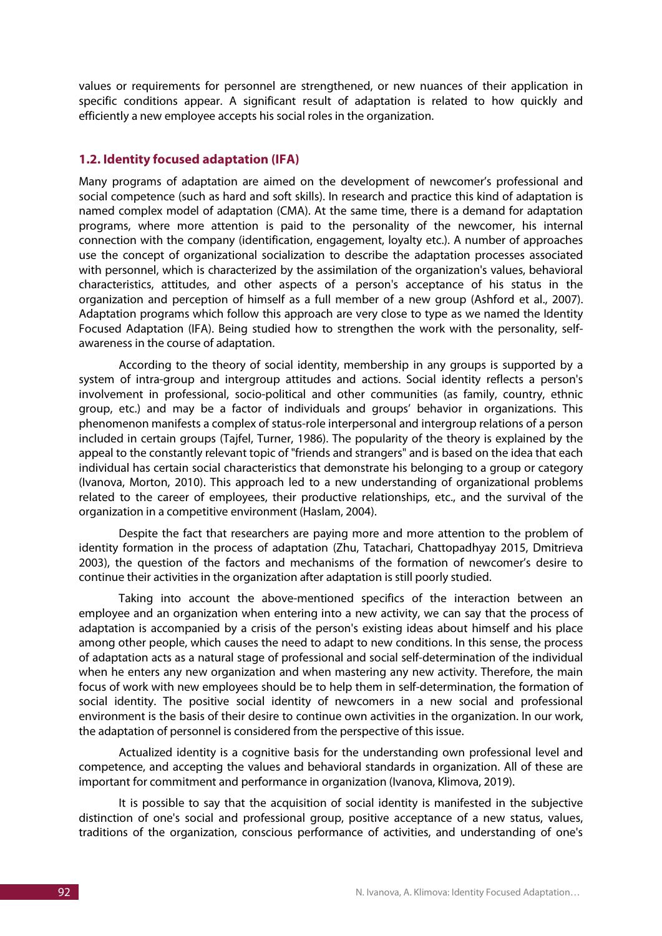values or requirements for personnel are strengthened, or new nuances of their application in specific conditions appear. A significant result of adaptation is related to how quickly and efficiently a new employee accepts his social roles in the organization.

#### **1.2. Identity focused adaptation (IFA)**

Many programs of adaptation are aimed on the development of newcomer's professional and social competence (such as hard and soft skills). In research and practice this kind of adaptation is named complex model of adaptation (CMA). At the same time, there is a demand for adaptation programs, where more attention is paid to the personality of the newcomer, his internal connection with the company (identification, engagement, loyalty etc.). A number of approaches use the concept of organizational socialization to describe the adaptation processes associated with personnel, which is characterized by the assimilation of the organization's values, behavioral characteristics, attitudes, and other aspects of a person's acceptance of his status in the organization and perception of himself as a full member of a new group (Ashford et al., 2007). Adaptation programs which follow this approach are very close to type as we named the Identity Focused Adaptation (IFA). Being studied how to strengthen the work with the personality, selfawareness in the course of adaptation.

According to the theory of social identity, membership in any groups is supported by a system of intra-group and intergroup attitudes and actions. Social identity reflects a person's involvement in professional, socio-political and other communities (as family, country, ethnic group, etc.) and may be a factor of individuals and groups' behavior in organizations. This phenomenon manifests a complex of status-role interpersonal and intergroup relations of a person included in certain groups (Tajfel, Turner, 1986). The popularity of the theory is explained by the appeal to the constantly relevant topic of "friends and strangers" and is based on the idea that each individual has certain social characteristics that demonstrate his belonging to a group or category (Ivanova, Morton, 2010). This approach led to a new understanding of organizational problems related to the career of employees, their productive relationships, etc., and the survival of the organization in a competitive environment (Haslam, 2004).

Despite the fact that researchers are paying more and more attention to the problem of identity formation in the process of adaptation (Zhu, Tatachari, Chattopadhyay 2015, Dmitrieva 2003), the question of the factors and mechanisms of the formation of newcomer's desire to continue their activities in the organization after adaptation is still poorly studied.

Taking into account the above-mentioned specifics of the interaction between an employee and an organization when entering into a new activity, we can say that the process of adaptation is accompanied by a crisis of the person's existing ideas about himself and his place among other people, which causes the need to adapt to new conditions. In this sense, the process of adaptation acts as a natural stage of professional and social self-determination of the individual when he enters any new organization and when mastering any new activity. Therefore, the main focus of work with new employees should be to help them in self-determination, the formation of social identity. The positive social identity of newcomers in a new social and professional environment is the basis of their desire to continue own activities in the organization. In our work, the adaptation of personnel is considered from the perspective of this issue.

Actualized identity is a cognitive basis for the understanding own professional level and competence, and accepting the values and behavioral standards in organization. All of these are important for commitment and performance in organization (Ivanova, Klimova, 2019).

It is possible to say that the acquisition of social identity is manifested in the subjective distinction of one's social and professional group, positive acceptance of a new status, values, traditions of the organization, conscious performance of activities, and understanding of one's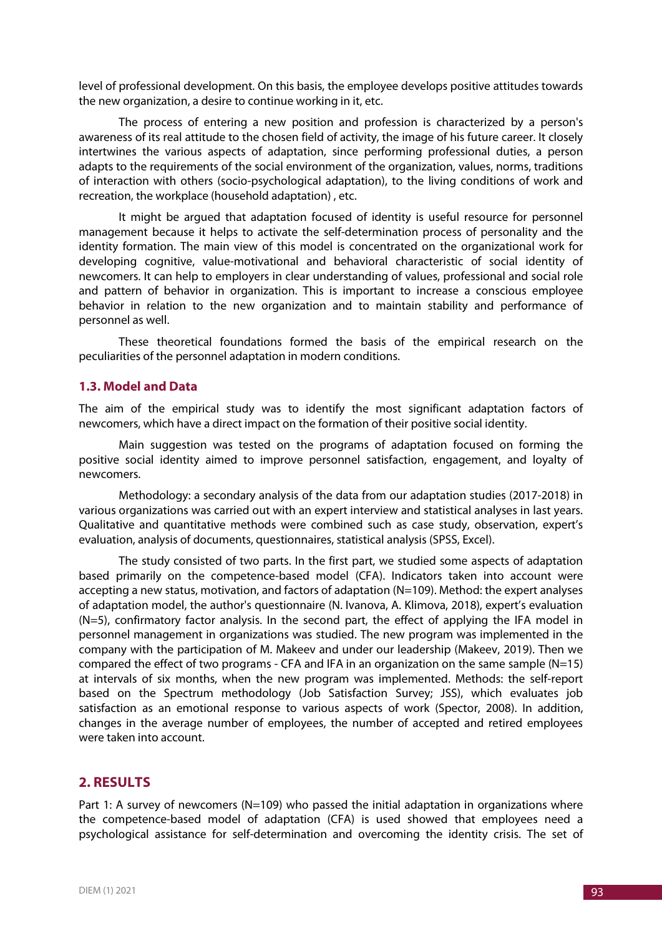level of professional development. On this basis, the employee develops positive attitudes towards the new organization, a desire to continue working in it, etc.

The process of entering a new position and profession is characterized by a person's awareness of its real attitude to the chosen field of activity, the image of his future career. It closely intertwines the various aspects of adaptation, since performing professional duties, a person adapts to the requirements of the social environment of the organization, values, norms, traditions of interaction with others (socio-psychological adaptation), to the living conditions of work and recreation, the workplace (household adaptation) , etc.

It might be argued that adaptation focused of identity is useful resource for personnel management because it helps to activate the self-determination process of personality and the identity formation. The main view of this model is concentrated on the organizational work for developing cognitive, value-motivational and behavioral characteristic of social identity of newcomers. It can help to employers in clear understanding of values, professional and social role and pattern of behavior in organization. This is important to increase a conscious employee behavior in relation to the new organization and to maintain stability and performance of personnel as well.

These theoretical foundations formed the basis of the empirical research on the peculiarities of the personnel adaptation in modern conditions.

## **1.3. Model and Data**

The aim of the empirical study was to identify the most significant adaptation factors of newcomers, which have a direct impact on the formation of their positive social identity.

Main suggestion was tested on the programs of adaptation focused on forming the positive social identity aimed to improve personnel satisfaction, engagement, and loyalty of newcomers.

Methodology: a secondary analysis of the data from our adaptation studies (2017-2018) in various organizations was carried out with an expert interview and statistical analyses in last years. Qualitative and quantitative methods were combined such as case study, observation, expert's evaluation, analysis of documents, questionnaires, statistical analysis (SPSS, Excel).

The study consisted of two parts. In the first part, we studied some aspects of adaptation based primarily on the competence-based model (CFA). Indicators taken into account were accepting a new status, motivation, and factors of adaptation (N=109). Method: the expert analyses of adaptation model, the author's questionnaire (N. Ivanova, A. Klimova, 2018), expert's evaluation (N=5), confirmatory factor analysis. In the second part, the effect of applying the IFA model in personnel management in organizations was studied. The new program was implemented in the company with the participation of M. Makeev and under our leadership (Makeev, 2019). Then we compared the effect of two programs - CFA and IFA in an organization on the same sample  $(N=15)$ at intervals of six months, when the new program was implemented. Methods: the self-report based on the Spectrum methodology (Job Satisfaction Survey; JSS), which evaluates job satisfaction as an emotional response to various aspects of work (Spector, 2008). In addition, changes in the average number of employees, the number of accepted and retired employees were taken into account.

## **2. RESULTS**

Part 1: A survey of newcomers (N=109) who passed the initial adaptation in organizations where the competence-based model of adaptation (CFA) is used showed that employees need a psychological assistance for self-determination and overcoming the identity crisis. The set of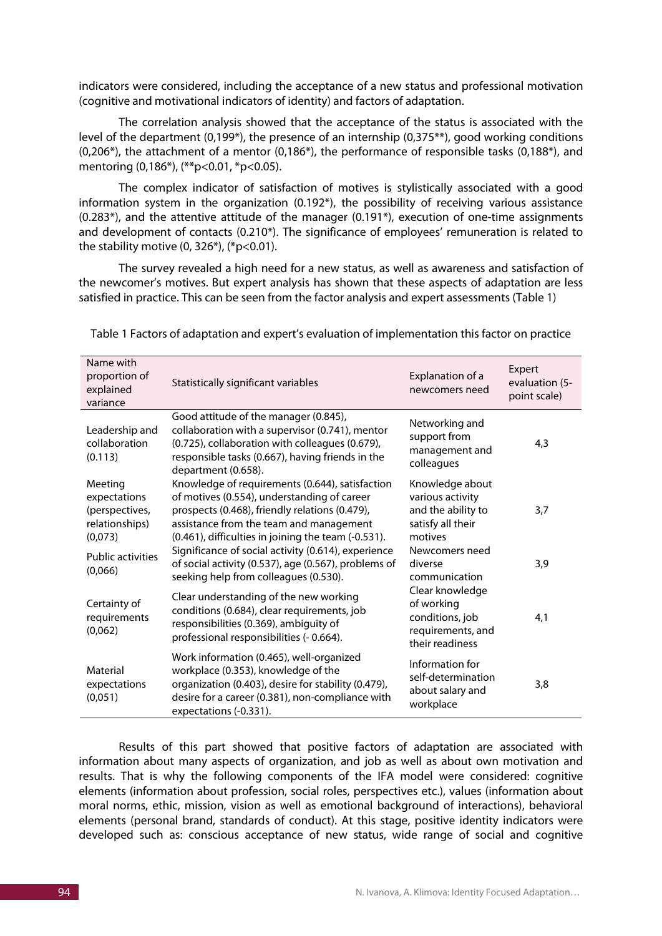indicators were considered, including the acceptance of a new status and professional motivation (cognitive and motivational indicators of identity) and factors of adaptation.

The correlation analysis showed that the acceptance of the status is associated with the level of the department (0,199\*), the presence of an internship (0,375\*\*), good working conditions (0,206\*), the attachment of a mentor (0,186\*), the performance of responsible tasks (0,188\*), and mentoring (0,186\*), (\*\*p<0.01, \*p<0.05).

The complex indicator of satisfaction of motives is stylistically associated with a good information system in the organization  $(0.192^*)$ , the possibility of receiving various assistance (0.283\*), and the attentive attitude of the manager (0.191\*), execution of one-time assignments and development of contacts (0.210\*). The significance of employees' remuneration is related to the stability motive  $(0, 326^*)$ ,  $(*p<0.01)$ .

The survey revealed a high need for a new status, as well as awareness and satisfaction of the newcomer's motives. But expert analysis has shown that these aspects of adaptation are less satisfied in practice. This can be seen from the factor analysis and expert assessments (Table 1)

| Name with<br>proportion of<br>explained<br>variance                    | Statistically significant variables                                                                                                                                                                                                                | Explanation of a<br>newcomers need                                                        | Expert<br>evaluation (5-<br>point scale) |
|------------------------------------------------------------------------|----------------------------------------------------------------------------------------------------------------------------------------------------------------------------------------------------------------------------------------------------|-------------------------------------------------------------------------------------------|------------------------------------------|
| Leadership and<br>collaboration<br>(0.113)                             | Good attitude of the manager (0.845),<br>collaboration with a supervisor (0.741), mentor<br>(0.725), collaboration with colleagues (0.679),<br>responsible tasks (0.667), having friends in the<br>department (0.658).                             | Networking and<br>support from<br>management and<br>colleagues                            | 4,3                                      |
| Meeting<br>expectations<br>(perspectives,<br>relationships)<br>(0,073) | Knowledge of requirements (0.644), satisfaction<br>of motives (0.554), understanding of career<br>prospects (0.468), friendly relations (0.479),<br>assistance from the team and management<br>(0.461), difficulties in joining the team (-0.531). | Knowledge about<br>various activity<br>and the ability to<br>satisfy all their<br>motives | 3,7                                      |
| <b>Public activities</b><br>(0,066)                                    | Significance of social activity (0.614), experience<br>of social activity (0.537), age (0.567), problems of<br>seeking help from colleagues (0.530).                                                                                               | Newcomers need<br>diverse<br>communication                                                | 3,9                                      |
| Certainty of<br>requirements<br>(0,062)                                | Clear understanding of the new working<br>conditions (0.684), clear requirements, job<br>responsibilities (0.369), ambiguity of<br>professional responsibilities (- 0.664).                                                                        | Clear knowledge<br>of working<br>conditions, job<br>requirements, and<br>their readiness  | 4,1                                      |
| Material<br>expectations<br>(0,051)                                    | Work information (0.465), well-organized<br>workplace (0.353), knowledge of the<br>organization (0.403), desire for stability (0.479),<br>desire for a career (0.381), non-compliance with<br>expectations (-0.331).                               | Information for<br>self-determination<br>about salary and<br>workplace                    | 3,8                                      |

Table 1 Factors of adaptation and expert's evaluation of implementation this factor on practice

Results of this part showed that positive factors of adaptation are associated with information about many aspects of organization, and job as well as about own motivation and results. That is why the following components of the IFA model were considered: cognitive elements (information about profession, social roles, perspectives etc.), values (information about moral norms, ethic, mission, vision as well as emotional background of interactions), behavioral elements (personal brand, standards of conduct). At this stage, positive identity indicators were developed such as: conscious acceptance of new status, wide range of social and cognitive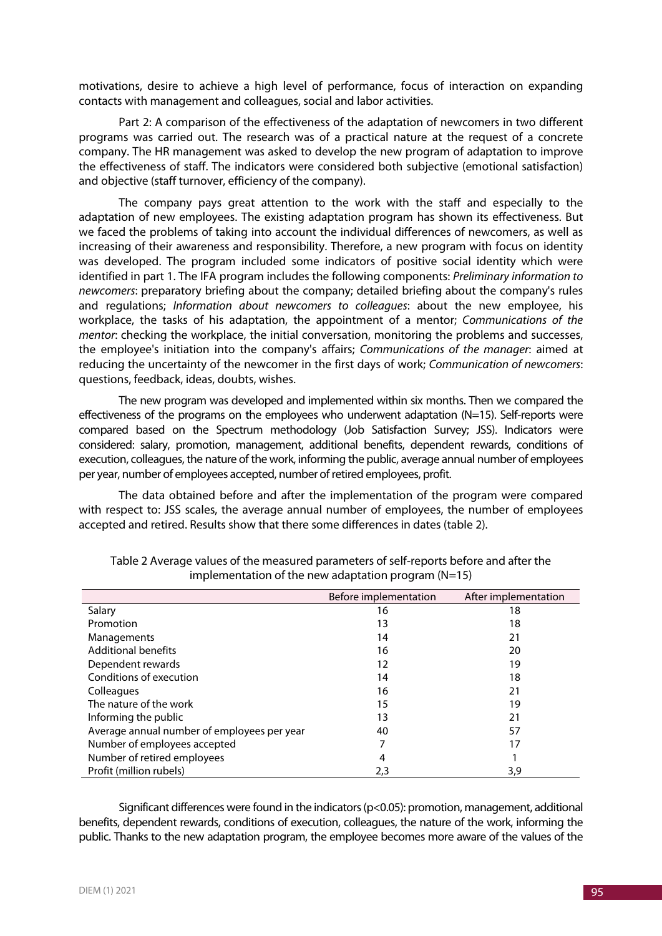motivations, desire to achieve a high level of performance, focus of interaction on expanding contacts with management and colleagues, social and labor activities.

Part 2: A comparison of the effectiveness of the adaptation of newcomers in two different programs was carried out. The research was of a practical nature at the request of a concrete company. The HR management was asked to develop the new program of adaptation to improve the effectiveness of staff. The indicators were considered both subjective (emotional satisfaction) and objective (staff turnover, efficiency of the company).

The company pays great attention to the work with the staff and especially to the adaptation of new employees. The existing adaptation program has shown its effectiveness. But we faced the problems of taking into account the individual differences of newcomers, as well as increasing of their awareness and responsibility. Therefore, a new program with focus on identity was developed. The program included some indicators of positive social identity which were identified in part 1. The IFA program includes the following components: *Preliminary information to newcomers*: preparatory briefing about the company; detailed briefing about the company's rules and regulations; *Information about newcomers to colleagues*: about the new employee, his workplace, the tasks of his adaptation, the appointment of a mentor; *Communications of the mentor*: checking the workplace, the initial conversation, monitoring the problems and successes, the employee's initiation into the company's affairs; *Communications of the manager*: aimed at reducing the uncertainty of the newcomer in the first days of work; *Communication of newcomers*: questions, feedback, ideas, doubts, wishes.

The new program was developed and implemented within six months. Then we compared the effectiveness of the programs on the employees who underwent adaptation (N=15). Self-reports were compared based on the Spectrum methodology (Job Satisfaction Survey; JSS). Indicators were considered: salary, promotion, management, additional benefits, dependent rewards, conditions of execution, colleagues, the nature of the work, informing the public, average annual number of employees per year, number of employees accepted, number of retired employees, profit.

The data obtained before and after the implementation of the program were compared with respect to: JSS scales, the average annual number of employees, the number of employees accepted and retired. Results show that there some differences in dates (table 2).

|                                             | Before implementation | After implementation |
|---------------------------------------------|-----------------------|----------------------|
| Salary                                      | 16                    | 18                   |
| Promotion                                   | 13                    | 18                   |
| Managements                                 | 14                    | 21                   |
| Additional benefits                         | 16                    | 20                   |
| Dependent rewards                           | 12                    | 19                   |
| Conditions of execution                     | 14                    | 18                   |
| Colleagues                                  | 16                    | 21                   |
| The nature of the work                      | 15                    | 19                   |
| Informing the public                        | 13                    | 21                   |
| Average annual number of employees per year | 40                    | 57                   |
| Number of employees accepted                |                       | 17                   |
| Number of retired employees                 | 4                     |                      |
| Profit (million rubels)                     | 2,3                   | 3,9                  |

Table 2 Average values of the measured parameters of self-reports before and after the implementation of the new adaptation program  $(N=15)$ 

Significant differences were found in the indicators (p<0.05): promotion, management, additional benefits, dependent rewards, conditions of execution, colleagues, the nature of the work, informing the public. Thanks to the new adaptation program, the employee becomes more aware of the values of the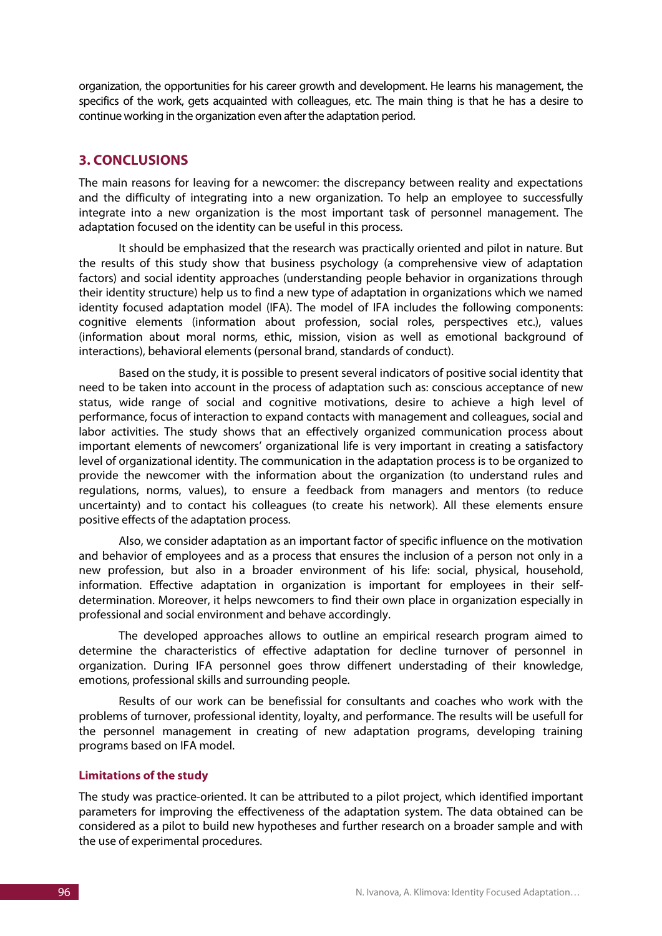organization, the opportunities for his career growth and development. He learns his management, the specifics of the work, gets acquainted with colleagues, etc. The main thing is that he has a desire to continue working in the organization even after the adaptation period.

# **3. CONCLUSIONS**

The main reasons for leaving for a newcomer: the discrepancy between reality and expectations and the difficulty of integrating into a new organization. To help an employee to successfully integrate into a new organization is the most important task of personnel management. The adaptation focused on the identity can be useful in this process.

It should be emphasized that the research was practically oriented and pilot in nature. But the results of this study show that business psychology (a comprehensive view of adaptation factors) and social identity approaches (understanding people behavior in organizations through their identity structure) help us to find a new type of adaptation in organizations which we named identity focused adaptation model (IFA). The model of IFA includes the following components: cognitive elements (information about profession, social roles, perspectives etc.), values (information about moral norms, ethic, mission, vision as well as emotional background of interactions), behavioral elements (personal brand, standards of conduct).

Based on the study, it is possible to present several indicators of positive social identity that need to be taken into account in the process of adaptation such as: conscious acceptance of new status, wide range of social and cognitive motivations, desire to achieve a high level of performance, focus of interaction to expand contacts with management and colleagues, social and labor activities. The study shows that an effectively organized communication process about important elements of newcomers' organizational life is very important in creating a satisfactory level of organizational identity. The communication in the adaptation process is to be organized to provide the newcomer with the information about the organization (to understand rules and regulations, norms, values), to ensure a feedback from managers and mentors (to reduce uncertainty) and to contact his colleagues (to create his network). All these elements ensure positive effects of the adaptation process.

Also, we consider adaptation as an important factor of specific influence on the motivation and behavior of employees and as a process that ensures the inclusion of a person not only in a new profession, but also in a broader environment of his life: social, physical, household, information. Effective adaptation in organization is important for employees in their selfdetermination. Moreover, it helps newcomers to find their own place in organization especially in professional and social environment and behave accordingly.

The developed approaches allows to outline an empirical research program aimed to determine the characteristics of effective adaptation for decline turnover of personnel in organization. During IFA personnel goes throw diffenert understading of their knowledge, emotions, professional skills and surrounding people.

Results of our work can be benefissial for consultants and coaches who work with the problems of turnover, professional identity, loyalty, and performance. The results will be usefull for the personnel management in creating of new adaptation programs, developing training programs based on IFA model.

#### **Limitations of the study**

The study was practice-oriented. It can be attributed to a pilot project, which identified important parameters for improving the effectiveness of the adaptation system. The data obtained can be considered as a pilot to build new hypotheses and further research on a broader sample and with the use of experimental procedures.